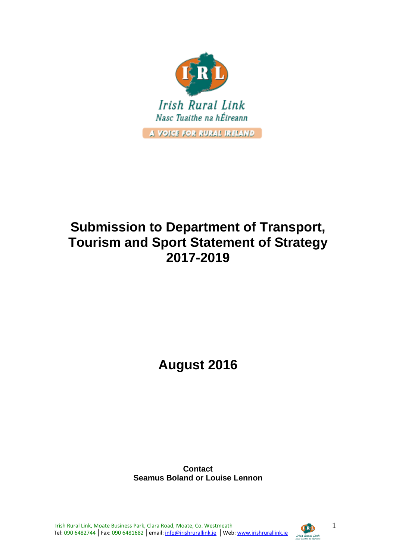

# **Submission to Department of Transport, Tourism and Sport Statement of Strategy 2017-2019**

**August 2016**

**Contact Seamus Boland or Louise Lennon**



1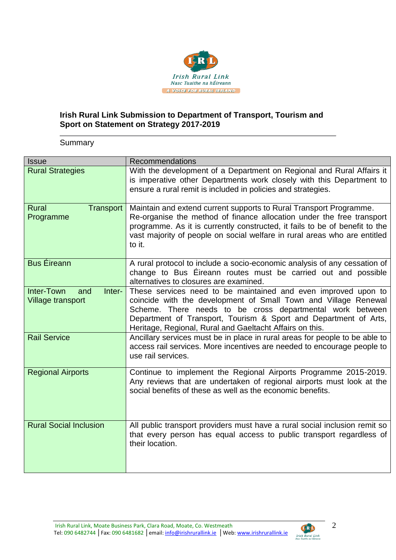

# **Irish Rural Link Submission to Department of Transport, Tourism and Sport on Statement on Strategy 2017-2019**

**Summary** 

| <b>Issue</b>                                                   | <b>Recommendations</b>                                                                                                                                                                                                                                                                                                         |
|----------------------------------------------------------------|--------------------------------------------------------------------------------------------------------------------------------------------------------------------------------------------------------------------------------------------------------------------------------------------------------------------------------|
| <b>Rural Strategies</b>                                        | With the development of a Department on Regional and Rural Affairs it<br>is imperative other Departments work closely with this Department to<br>ensure a rural remit is included in policies and strategies.                                                                                                                  |
| <b>Rural</b><br>Transport<br>Programme                         | Maintain and extend current supports to Rural Transport Programme.<br>Re-organise the method of finance allocation under the free transport<br>programme. As it is currently constructed, it fails to be of benefit to the<br>vast majority of people on social welfare in rural areas who are entitled<br>to it.              |
| <b>Bus Éireann</b>                                             | A rural protocol to include a socio-economic analysis of any cessation of<br>change to Bus Eireann routes must be carried out and possible<br>alternatives to closures are examined.                                                                                                                                           |
| <b>Inter-Town</b><br>Inter-<br>and<br><b>Village transport</b> | These services need to be maintained and even improved upon to<br>coincide with the development of Small Town and Village Renewal<br>Scheme. There needs to be cross departmental work between<br>Department of Transport, Tourism & Sport and Department of Arts,<br>Heritage, Regional, Rural and Gaeltacht Affairs on this. |
| <b>Rail Service</b>                                            | Ancillary services must be in place in rural areas for people to be able to<br>access rail services. More incentives are needed to encourage people to<br>use rail services.                                                                                                                                                   |
| <b>Regional Airports</b>                                       | Continue to implement the Regional Airports Programme 2015-2019.<br>Any reviews that are undertaken of regional airports must look at the<br>social benefits of these as well as the economic benefits.                                                                                                                        |
| <b>Rural Social Inclusion</b>                                  | All public transport providers must have a rural social inclusion remit so<br>that every person has equal access to public transport regardless of<br>their location.                                                                                                                                                          |



2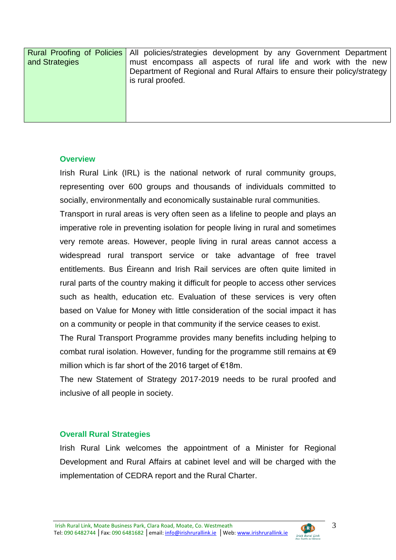| and Strategies | <b>Rural Proofing of Policies   All policies/strategies development by any Government Department</b><br>must encompass all aspects of rural life and work with the new<br>Department of Regional and Rural Affairs to ensure their policy/strategy<br>is rural proofed. |
|----------------|-------------------------------------------------------------------------------------------------------------------------------------------------------------------------------------------------------------------------------------------------------------------------|
|                |                                                                                                                                                                                                                                                                         |

#### **Overview**

Irish Rural Link (IRL) is the national network of rural community groups, representing over 600 groups and thousands of individuals committed to socially, environmentally and economically sustainable rural communities.

Transport in rural areas is very often seen as a lifeline to people and plays an imperative role in preventing isolation for people living in rural and sometimes very remote areas. However, people living in rural areas cannot access a widespread rural transport service or take advantage of free travel entitlements. Bus Éireann and Irish Rail services are often quite limited in rural parts of the country making it difficult for people to access other services such as health, education etc. Evaluation of these services is very often based on Value for Money with little consideration of the social impact it has on a community or people in that community if the service ceases to exist.

The Rural Transport Programme provides many benefits including helping to combat rural isolation. However, funding for the programme still remains at  $\epsilon$ 9 million which is far short of the 2016 target of  $\epsilon$ 18m.

The new Statement of Strategy 2017-2019 needs to be rural proofed and inclusive of all people in society.

#### **Overall Rural Strategies**

Irish Rural Link welcomes the appointment of a Minister for Regional Development and Rural Affairs at cabinet level and will be charged with the implementation of CEDRA report and the Rural Charter.

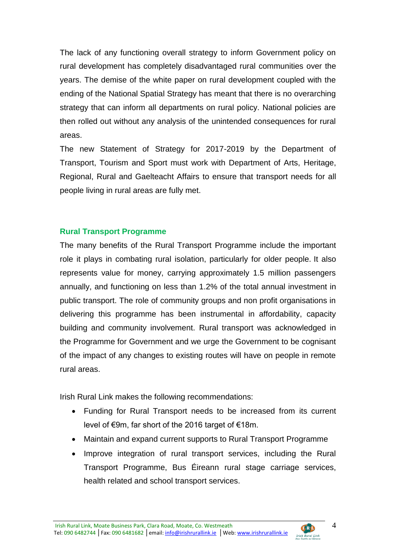The lack of any functioning overall strategy to inform Government policy on rural development has completely disadvantaged rural communities over the years. The demise of the white paper on rural development coupled with the ending of the National Spatial Strategy has meant that there is no overarching strategy that can inform all departments on rural policy. National policies are then rolled out without any analysis of the unintended consequences for rural areas.

The new Statement of Strategy for 2017-2019 by the Department of Transport, Tourism and Sport must work with Department of Arts, Heritage, Regional, Rural and Gaelteacht Affairs to ensure that transport needs for all people living in rural areas are fully met.

## **Rural Transport Programme**

The many benefits of the Rural Transport Programme include the important role it plays in combating rural isolation, particularly for older people. It also represents value for money, carrying approximately 1.5 million passengers annually, and functioning on less than 1.2% of the total annual investment in public transport. The role of community groups and non profit organisations in delivering this programme has been instrumental in affordability, capacity building and community involvement. Rural transport was acknowledged in the Programme for Government and we urge the Government to be cognisant of the impact of any changes to existing routes will have on people in remote rural areas.

Irish Rural Link makes the following recommendations:

- Funding for Rural Transport needs to be increased from its current level of €9m, far short of the 2016 target of €18m.
- Maintain and expand current supports to Rural Transport Programme
- Improve integration of rural transport services, including the Rural Transport Programme, Bus Éireann rural stage carriage services, health related and school transport services.



**CERD**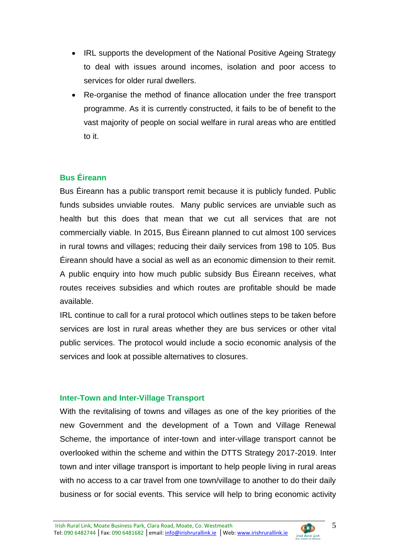- IRL supports the development of the National Positive Ageing Strategy to deal with issues around incomes, isolation and poor access to services for older rural dwellers.
- Re-organise the method of finance allocation under the free transport programme. As it is currently constructed, it fails to be of benefit to the vast majority of people on social welfare in rural areas who are entitled to it.

# **Bus Éireann**

Bus Éireann has a public transport remit because it is publicly funded. Public funds subsides unviable routes. Many public services are unviable such as health but this does that mean that we cut all services that are not commercially viable. In 2015, Bus Éireann planned to cut almost 100 services in rural towns and villages; reducing their daily services from 198 to 105. Bus Éireann should have a social as well as an economic dimension to their remit. A public enquiry into how much public subsidy Bus Éireann receives, what routes receives subsidies and which routes are profitable should be made available.

IRL continue to call for a rural protocol which outlines steps to be taken before services are lost in rural areas whether they are bus services or other vital public services. The protocol would include a socio economic analysis of the services and look at possible alternatives to closures.

#### **Inter-Town and Inter-Village Transport**

With the revitalising of towns and villages as one of the key priorities of the new Government and the development of a Town and Village Renewal Scheme, the importance of inter-town and inter-village transport cannot be overlooked within the scheme and within the DTTS Strategy 2017-2019. Inter town and inter village transport is important to help people living in rural areas with no access to a car travel from one town/village to another to do their daily business or for social events. This service will help to bring economic activity

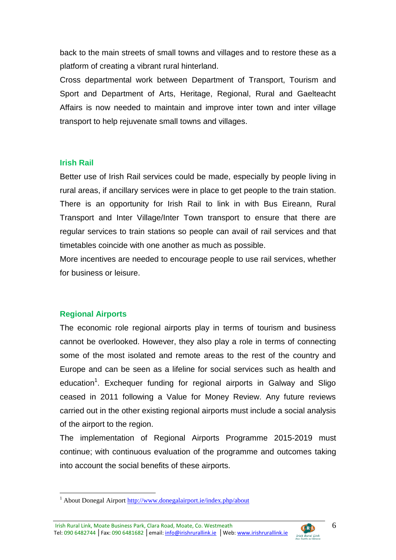back to the main streets of small towns and villages and to restore these as a platform of creating a vibrant rural hinterland.

Cross departmental work between Department of Transport, Tourism and Sport and Department of Arts, Heritage, Regional, Rural and Gaelteacht Affairs is now needed to maintain and improve inter town and inter village transport to help rejuvenate small towns and villages.

#### **Irish Rail**

Better use of Irish Rail services could be made, especially by people living in rural areas, if ancillary services were in place to get people to the train station. There is an opportunity for Irish Rail to link in with Bus Eireann, Rural Transport and Inter Village/Inter Town transport to ensure that there are regular services to train stations so people can avail of rail services and that timetables coincide with one another as much as possible.

More incentives are needed to encourage people to use rail services, whether for business or leisure.

## **Regional Airports**

The economic role regional airports play in terms of tourism and business cannot be overlooked. However, they also play a role in terms of connecting some of the most isolated and remote areas to the rest of the country and Europe and can be seen as a lifeline for social services such as health and education<sup>1</sup>. Exchequer funding for regional airports in Galway and Sligo ceased in 2011 following a Value for Money Review. Any future reviews carried out in the other existing regional airports must include a social analysis of the airport to the region.

The implementation of Regional Airports Programme 2015-2019 must continue; with continuous evaluation of the programme and outcomes taking into account the social benefits of these airports.



<sup>1</sup> <sup>1</sup> About Donegal Airpor[t http://www.donegalairport.ie/index.php/about](http://www.donegalairport.ie/index.php/about)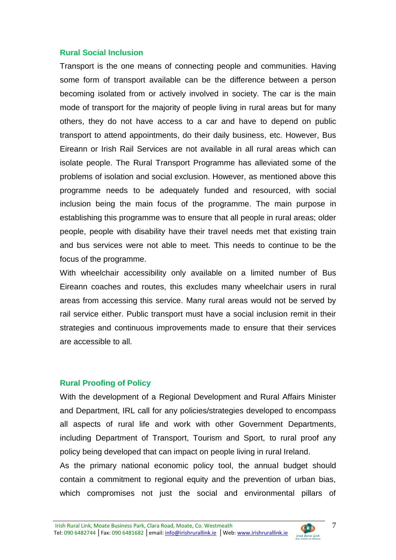#### **Rural Social Inclusion**

Transport is the one means of connecting people and communities. Having some form of transport available can be the difference between a person becoming isolated from or actively involved in society. The car is the main mode of transport for the majority of people living in rural areas but for many others, they do not have access to a car and have to depend on public transport to attend appointments, do their daily business, etc. However, Bus Eireann or Irish Rail Services are not available in all rural areas which can isolate people. The Rural Transport Programme has alleviated some of the problems of isolation and social exclusion. However, as mentioned above this programme needs to be adequately funded and resourced, with social inclusion being the main focus of the programme. The main purpose in establishing this programme was to ensure that all people in rural areas; older people, people with disability have their travel needs met that existing train and bus services were not able to meet. This needs to continue to be the focus of the programme.

With wheelchair accessibility only available on a limited number of Bus Eireann coaches and routes, this excludes many wheelchair users in rural areas from accessing this service. Many rural areas would not be served by rail service either. Public transport must have a social inclusion remit in their strategies and continuous improvements made to ensure that their services are accessible to all.

#### **Rural Proofing of Policy**

With the development of a Regional Development and Rural Affairs Minister and Department, IRL call for any policies/strategies developed to encompass all aspects of rural life and work with other Government Departments, including Department of Transport, Tourism and Sport, to rural proof any policy being developed that can impact on people living in rural Ireland.

As the primary national economic policy tool, the annual budget should contain a commitment to regional equity and the prevention of urban bias, which compromises not just the social and environmental pillars of

7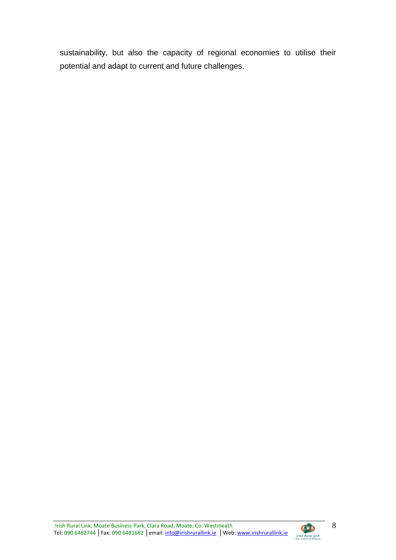sustainability, but also the capacity of regional economies to utilise their potential and adapt to current and future challenges.



**CED**